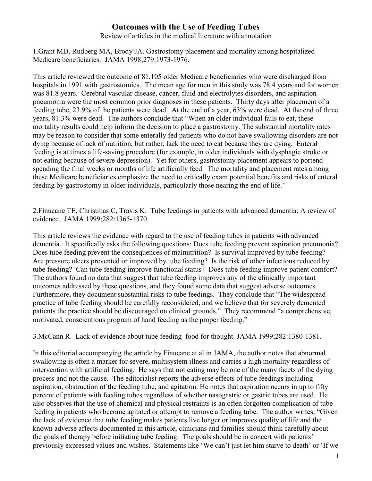## **Outcomes with the Use of Feeding Tubes**

Review of articles in the medical literature with annotation

1.Grant MD, Rudberg MA, Brody JA. Gastrostomy placement and mortality among hospitalized Medicare beneficiaries. JAMA 1998;279:1973-1976.

This article reviewed the outcome of 81,105 older Medicare beneficiaries who were discharged from hospitals in 1991 with gastrostomies. The mean age for men in this study was 78.4 years and for women was 81.8 years. Cerebral vascular disease, cancer, fluid and electrolytes disorders, and aspiration pneumonia were the most common prior diagnoses in these patients. Thirty days after placement of a feeding tube, 23.9% of the patients were dead. At the end of a year, 63% were dead. At the end of three years, 81.3% were dead. The authors conclude that "When an older individual fails to eat, these mortality results could help inform the decision to place a gastrostomy. The substantial mortality rates may be reason to consider that some enterally fed patients who do not have swallowing disorders are not dying because of lack of nutrition, but rather, lack the need to eat because they are dying. Enteral feeding is at times a life-saving procedure (for example, in older individuals with dysphagic stroke or not eating because of severe depression). Yet for others, gastrostomy placement appears to portend spending the final weeks or months of life artificially feed. The mortality and placement rates among these Medicare beneficiaries emphasize the need to critically exam potential benefits and risks of enteral feeding by gastrostomy in older individuals, particularly those nearing the end of life."

2.Finucane TE, Christmas C, Travis K. Tube feedings in patients with advanced dementia: A review of evidence. JAMA 1999;282:1365-1370.

This article reviews the evidence with regard to the use of feeding tubes in patients with advanced dementia. It specifically asks the following questions: Does tube feeding prevent aspiration pneumonia? Does tube feeding prevent the consequences of malnutrition? Is survival improved by tube feeding? Are pressure ulcers prevented or improved by tube feeding? Is the risk of other infections reduced by tube feeding? Can tube feeding improve functional status? Does tube feeding improve patient comfort? The authors found no data that suggest that tube feeding improves any of the clinically important outcomes addressed by these questions, and they found some data that suggest adverse outcomes. Furthermore, they document substantial risks to tube feedings. They conclude that "The widespread practice of tube feeding should be carefully reconsidered, and we believe that for severely demented patients the practice should be discouraged on clinical grounds." They recommend "a comprehensive, motivated, conscientious program of hand feeding as the proper feeding."

3.McCann R. Lack of evidence about tube feeding–food for thought. JAMA 1999;282:1380-1381.

In this editorial accompanying the article by Finucane at al in JAMA, the author notes that abnormal swallowing is often a marker for severe, multisystem illness and carries a high mortality regardless of intervention with artificial feeding. He says that not eating may be one of the many facets of the dying process and not the cause. The editorialist reports the adverse effects of tube feedings including aspiration, obstruction of the feeding tube, and agitation. He notes that aspiration occurs in up to fifty percent of patients with feeding tubes regardless of whether nasogastric or gastric tubes are used. He also observes that the use of chemical and physical restraints is an often forgotten complication of tube feeding in patients who become agitated or attempt to remove a feeding tube. The author writes, "Given the lack of evidence that tube feeding makes patients live longer or improves quality of life and the known adverse affects documented in this article, clinicians and families should think carefully about the goals of therapy before initiating tube feeding. The goals should be in concert with patients' previously expressed values and wishes. Statements like 'We can't just let him starve to death' or 'If we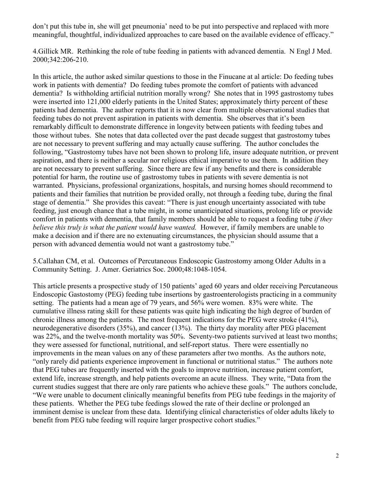don't put this tube in, she will get pneumonia' need to be put into perspective and replaced with more meaningful, thoughtful, individualized approaches to care based on the available evidence of efficacy."

4.Gillick MR. Rethinking the role of tube feeding in patients with advanced dementia. N Engl J Med. 2000;342:206-210.

In this article, the author asked similar questions to those in the Finucane at al article: Do feeding tubes work in patients with dementia? Do feeding tubes promote the comfort of patients with advanced dementia? Is withholding artificial nutrition morally wrong? She notes that in 1995 gastrostomy tubes were inserted into 121,000 elderly patients in the United States; approximately thirty percent of these patients had dementia. The author reports that it is now clear from multiple observational studies that feeding tubes do not prevent aspiration in patients with dementia. She observes that it's been remarkably difficult to demonstrate difference in longevity between patients with feeding tubes and those without tubes. She notes that data collected over the past decade suggest that gastrostomy tubes are not necessary to prevent suffering and may actually cause suffering. The author concludes the following, "Gastrostomy tubes have not been shown to prolong life, insure adequate nutrition, or prevent aspiration, and there is neither a secular nor religious ethical imperative to use them. In addition they are not necessary to prevent suffering. Since there are few if any benefits and there is considerable potential for harm, the routine use of gastrostomy tubes in patients with severe dementia is not warranted. Physicians, professional organizations, hospitals, and nursing homes should recommend to patients and their families that nutrition be provided orally, not through a feeding tube, during the final stage of dementia." She provides this caveat: "There is just enough uncertainty associated with tube feeding, just enough chance that a tube might, in some unanticipated situations, prolong life or provide comfort in patients with dementia, that family members should be able to request a feeding tube *if they believe this truly is what the patient would have wanted.* However, if family members are unable to make a decision and if there are no extenuating circumstances, the physician should assume that a person with advanced dementia would not want a gastrostomy tube."

5.Callahan CM, et al. Outcomes of Percutaneous Endoscopic Gastrostomy among Older Adults in a Community Setting. J. Amer. Geriatrics Soc. 2000;48:1048-1054.

This article presents a prospective study of 150 patients' aged 60 years and older receiving Percutaneous Endoscopic Gastostomy (PEG) feeding tube insertions by gastroenterologists practicing in a community setting. The patients had a mean age of 79 years, and 56% were women. 83% were white. The cumulative illness rating skill for these patients was quite high indicating the high degree of burden of chronic illness among the patients. The most frequent indications for the PEG were stroke (41%), neurodegenerative disorders (35%), and cancer (13%). The thirty day morality after PEG placement was 22%, and the twelve-month mortality was 50%. Seventy-two patients survived at least two months; they were assessed for functional, nutritional, and self-report status. There were essentially no improvements in the mean values on any of these parameters after two months. As the authors note, "only rarely did patients experience improvement in functional or nutritional status." The authors note that PEG tubes are frequently inserted with the goals to improve nutrition, increase patient comfort, extend life, increase strength, and help patients overcome an acute illness. They write, "Data from the current studies suggest that there are only rare patients who achieve these goals." The authors conclude, "We were unable to document clinically meaningful benefits from PEG tube feedings in the majority of these patients. Whether the PEG tube feedings slowed the rate of their decline or prolonged an imminent demise is unclear from these data. Identifying clinical characteristics of older adults likely to benefit from PEG tube feeding will require larger prospective cohort studies."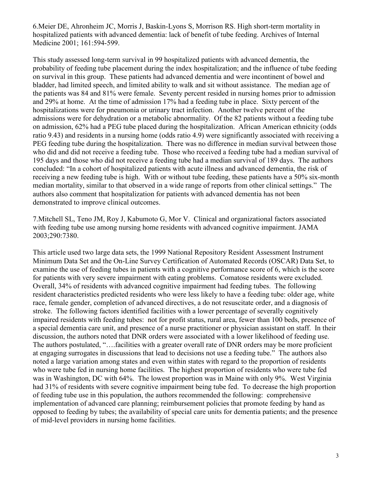6.Meier DE, Ahronheim JC, Morris J, Baskin-Lyons S, Morrison RS. High short-term mortality in hospitalized patients with advanced dementia: lack of benefit of tube feeding. Archives of Internal Medicine 2001; 161:594-599.

This study assessed long-term survival in 99 hospitalized patients with advanced dementia, the probability of feeding tube placement during the index hospitalization; and the influence of tube feeding on survival in this group. These patients had advanced dementia and were incontinent of bowel and bladder, had limited speech, and limited ability to walk and sit without assistance. The median age of the patients was 84 and 81% were female. Seventy percent resided in nursing homes prior to admission and 29% at home. At the time of admission 17% had a feeding tube in place. Sixty percent of the hospitalizations were for pneumonia or urinary tract infection. Another twelve percent of the admissions were for dehydration or a metabolic abnormality. Of the 82 patients without a feeding tube on admission, 62% had a PEG tube placed during the hospitalization. African American ethnicity (odds ratio 9.43) and residents in a nursing home (odds ratio 4.9) were significantly associated with receiving a PEG feeding tube during the hospitalization. There was no difference in median survival between those who did and did not receive a feeding tube. Those who received a feeding tube had a median survival of 195 days and those who did not receive a feeding tube had a median survival of 189 days. The authors concluded: "In a cohort of hospitalized patients with acute illness and advanced dementia, the risk of receiving a new feeding tube is high. With or without tube feeding, these patients have a 50% six-month median mortality, similar to that observed in a wide range of reports from other clinical settings." The authors also comment that hospitalization for patients with advanced dementia has not been demonstrated to improve clinical outcomes.

7.Mitchell SL, Teno JM, Roy J, Kabumoto G, Mor V. Clinical and organizational factors associated with feeding tube use among nursing home residents with advanced cognitive impairment. JAMA 2003;290:7380.

This article used two large data sets, the 1999 National Repository Resident Assessment Instrument Minimum Data Set and the On-Line Survey Certification of Automated Records (OSCAR) Data Set, to examine the use of feeding tubes in patients with a cognitive performance score of 6, which is the score for patients with very severe impairment with eating problems. Comatose residents were excluded. Overall, 34% of residents with advanced cognitive impairment had feeding tubes. The following resident characteristics predicted residents who were less likely to have a feeding tube: older age, white race, female gender, completion of advanced directives, a do not resuscitate order, and a diagnosis of stroke. The following factors identified facilities with a lower percentage of severally cognitively impaired residents with feeding tubes: not for profit status, rural area, fewer than 100 beds, presence of a special dementia care unit, and presence of a nurse practitioner or physician assistant on staff. In their discussion, the authors noted that DNR orders were associated with a lower likelihood of feeding use. The authors postulated, "….facilities with a greater overall rate of DNR orders may be more proficient at engaging surrogates in discussions that lead to decisions not use a feeding tube." The authors also noted a large variation among states and even within states with regard to the proportion of residents who were tube fed in nursing home facilities. The highest proportion of residents who were tube fed was in Washington, DC with 64%. The lowest proportion was in Maine with only 9%. West Virginia had 31% of residents with severe cognitive impairment being tube fed. To decrease the high proportion of feeding tube use in this population, the authors recommended the following: comprehensive implementation of advanced care planning; reimbursement policies that promote feeding by hand as opposed to feeding by tubes; the availability of special care units for dementia patients; and the presence of mid-level providers in nursing home facilities.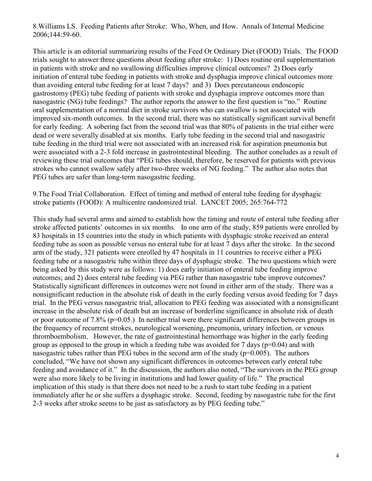8.Williams LS. Feeding Patients after Stroke: Who, When, and How. Annals of Internal Medicine 2006;144:59-60.

This article is an editorial summarizing results of the Feed Or Ordinary Diet (FOOD) Trials. The FOOD trials sought to answer three questions about feeding after stroke: 1) Does routine oral supplementation in patients with stroke and no swallowing difficulties improve clinical outcomes? 2) Does early initiation of enteral tube feeding in patients with stroke and dysphagia improve clinical outcomes more than avoiding enteral tube feeding for at least 7 days? and 3) Does percutaneous endoscopic gastrostomy (PEG) tube feeding of patients with stroke and dysphagia improve outcomes more than nasogastric (NG) tube feedings? The author reports the answer to the first question is "no." Routine oral supplementation of a normal diet in stroke survivors who can swallow is not associated with improved six-month outcomes. In the second trial, there was no statistically significant survival benefit for early feeding. A sobering fact from the second trial was that 80% of patients in the trial either were dead or were severally disabled at six months. Early tube feeding in the second trial and nasogastric tube feeding in the third trial were not associated with an increased risk for aspiration pneumonia but were associated with a 2-3 fold increase in gastrointestinal bleeding. The author concludes as a result of reviewing these trial outcomes that "PEG tubes should, therefore, be reserved for patients with previous strokes who cannot swallow safely after two-three weeks of NG feeding." The author also notes that PEG tubes are safer than long-term nasogastric feeding.

9.The Food Trial Collaboration. Effect of timing and method of enteral tube feeding for dysphagic stroke patients (FOOD): A multicentre randomized trial. LANCET 2005; 265:764-772

This study had several arms and aimed to establish how the timing and route of enteral tube feeding after stroke affected patients' outcomes in six months. In one arm of the study, 859 patients were enrolled by 83 hospitals in 15 countries into the study in which patients with dysphagic stroke received an enteral feeding tube as soon as possible versus no enteral tube for at least 7 days after the stroke. In the second arm of the study, 321 patients were enrolled by 47 hospitals in 11 countries to receive either a PEG feeding tube or a nasogastric tube within three days of dysphagic stroke. The two questions which were being asked by this study were as follows: 1) does early initiation of enteral tube feeding improve outcomes; and 2) does enteral tube feeding via PEG rather than nasogastric tube improve outcomes? Statistically significant differences in outcomes were not found in either arm of the study. There was a nonsignificant reduction in the absolute risk of death in the early feeding versus avoid feeding for 7 days trial. In the PEG versus nasogastric trial, allocation to PEG feeding was associated with a nonsignificant increase in the absolute risk of death but an increase of borderline significance in absolute risk of death or poor outcome of 7.8% ( $p=0.05$ .) In neither trial were there significant differences between groups in the frequency of recurrent strokes, neurological worsening, pneumonia, urinary infection, or venous thromboembolism. However, the rate of gastrointestinal hemorrhage was higher in the early feeding group as opposed to the group in which a feeding tube was avoided for 7 days ( $p=0.04$ ) and with nasogastric tubes rather than PEG tubes in the second arm of the study ( $p=0.005$ ). The authors concluded, "We have not shown any significant differences in outcomes between early enteral tube feeding and avoidance of it." In the discussion, the authors also noted, "The survivors in the PEG group were also more likely to be living in institutions and had lower quality of life." The practical implication of this study is that there does not need to be a rush to start tube feeding in a patient immediately after he or she suffers a dysphagic stroke. Second, feeding by nasogastric tube for the first 2-3 weeks after stroke seems to be just as satisfactory as by PEG feeding tube."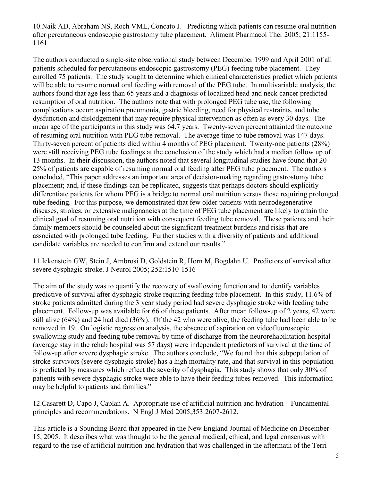10.Naik AD, Abraham NS, Roch VML, Concato J. Predicting which patients can resume oral nutrition after percutaneous endoscopic gastrostomy tube placement. Aliment Pharmacol Ther 2005; 21:1155- 1161

The authors conducted a single-site observational study between December 1999 and April 2001 of all patients scheduled for percutaneous endoscopic gastrostomy (PEG) feeding tube placement. They enrolled 75 patients. The study sought to determine which clinical characteristics predict which patients will be able to resume normal oral feeding with removal of the PEG tube. In multivariable analysis, the authors found that age less than 65 years and a diagnosis of localized head and neck cancer predicted resumption of oral nutrition. The authors note that with prolonged PEG tube use, the following complications occur: aspiration pneumonia, gastric bleeding, need for physical restraints, and tube dysfunction and dislodgement that may require physical intervention as often as every 30 days. The mean age of the participants in this study was 64.7 years. Twenty-seven percent attainted the outcome of resuming oral nutrition with PEG tube removal. The average time to tube removal was 147 days. Thirty-seven percent of patients died within 4 months of PEG placement. Twenty-one patients (28%) were still receiving PEG tube feedings at the conclusion of the study which had a median follow up of 13 months. In their discussion, the authors noted that several longitudinal studies have found that 20- 25% of patients are capable of resuming normal oral feeding after PEG tube placement. The authors concluded, "This paper addresses an important area of decision-making regarding gastrostomy tube placement; and, if these findings can be replicated, suggests that perhaps doctors should explicitly differentiate patients for whom PEG is a bridge to normal oral nutrition versus those requiring prolonged tube feeding. For this purpose, we demonstrated that few older patients with neurodegenerative diseases, strokes, or extensive malignancies at the time of PEG tube placement are likely to attain the clinical goal of resuming oral nutrition with consequent feeding tube removal. These patients and their family members should be counseled about the significant treatment burdens and risks that are associated with prolonged tube feeding. Further studies with a diversity of patients and additional candidate variables are needed to confirm and extend our results."

11.Ickenstein GW, Stein J, Ambrosi D, Goldstein R, Horn M, Bogdahn U. Predictors of survival after severe dysphagic stroke. J Neurol 2005; 252:1510-1516

The aim of the study was to quantify the recovery of swallowing function and to identify variables predictive of survival after dysphagic stroke requiring feeding tube placement. In this study, 11.6% of stroke patients admitted during the 3 year study period had severe dysphagic stroke with feeding tube placement. Follow-up was available for 66 of these patients. After mean follow-up of 2 years, 42 were still alive (64%) and 24 had died (36%). Of the 42 who were alive, the feeding tube had been able to be removed in 19. On logistic regression analysis, the absence of aspiration on videofluoroscopic swallowing study and feeding tube removal by time of discharge from the neurorehabilitation hospital (average stay in the rehab hospital was 57 days) were independent predictors of survival at the time of follow-up after severe dysphagic stroke. The authors conclude, "We found that this subpopulation of stroke survivors (severe dysphagic stroke) has a high mortality rate, and that survival in this population is predicted by measures which reflect the severity of dysphagia. This study shows that only 30% of patients with severe dysphagic stroke were able to have their feeding tubes removed. This information may be helpful to patients and families."

12.Casarett D, Capo J, Caplan A. Appropriate use of artificial nutrition and hydration – Fundamental principles and recommendations. N Engl J Med 2005;353:2607-2612.

This article is a Sounding Board that appeared in the New England Journal of Medicine on December 15, 2005. It describes what was thought to be the general medical, ethical, and legal consensus with regard to the use of artificial nutrition and hydration that was challenged in the aftermath of the Terri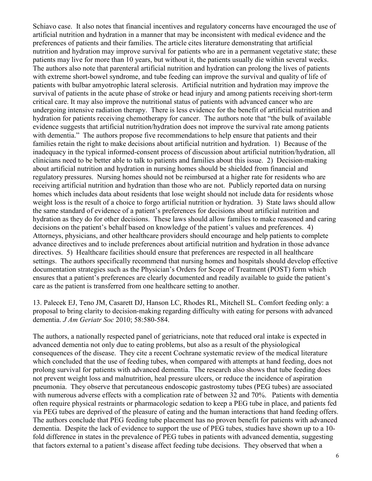Schiavo case. It also notes that financial incentives and regulatory concerns have encouraged the use of artificial nutrition and hydration in a manner that may be inconsistent with medical evidence and the preferences of patients and their families. The article cites literature demonstrating that artificial nutrition and hydration may improve survival for patients who are in a permanent vegetative state; these patients may live for more than 10 years, but without it, the patients usually die within several weeks. The authors also note that parenteral artificial nutrition and hydration can prolong the lives of patients with extreme short-bowel syndrome, and tube feeding can improve the survival and quality of life of patients with bulbar amyotrophic lateral sclerosis. Artificial nutrition and hydration may improve the survival of patients in the acute phase of stroke or head injury and among patients receiving short-term critical care. It may also improve the nutritional status of patients with advanced cancer who are undergoing intensive radiation therapy. There is less evidence for the benefit of artificial nutrition and hydration for patients receiving chemotherapy for cancer. The authors note that "the bulk of available evidence suggests that artificial nutrition/hydration does not improve the survival rate among patients with dementia." The authors propose five recommendations to help ensure that patients and their families retain the right to make decisions about artificial nutrition and hydration. 1) Because of the inadequacy in the typical informed-consent process of discussion about artificial nutrition/hydration, all clinicians need to be better able to talk to patients and families about this issue. 2) Decision-making about artificial nutrition and hydration in nursing homes should be shielded from financial and regulatory pressures. Nursing homes should not be reimbursed at a higher rate for residents who are receiving artificial nutrition and hydration than those who are not. Publicly reported data on nursing homes which includes data about residents that lose weight should not include data for residents whose weight loss is the result of a choice to forgo artificial nutrition or hydration. 3) State laws should allow the same standard of evidence of a patient's preferences for decisions about artificial nutrition and hydration as they do for other decisions. These laws should allow families to make reasoned and caring decisions on the patient's behalf based on knowledge of the patient's values and preferences. 4) Attorneys, physicians, and other healthcare providers should encourage and help patients to complete advance directives and to include preferences about artificial nutrition and hydration in those advance directives. 5) Healthcare facilities should ensure that preferences are respected in all healthcare settings. The authors specifically recommend that nursing homes and hospitals should develop effective documentation strategies such as the Physician's Orders for Scope of Treatment (POST) form which ensures that a patient's preferences are clearly documented and readily available to guide the patient's care as the patient is transferred from one healthcare setting to another.

13. Palecek EJ, Teno JM, Casarett DJ, Hanson LC, Rhodes RL, Mitchell SL. Comfort feeding only: a proposal to bring clarity to decision-making regarding difficulty with eating for persons with advanced dementia. *J Am Geriatr Soc* 2010; 58:580-584.

The authors, a nationally respected panel of geriatricians, note that reduced oral intake is expected in advanced dementia not only due to eating problems, but also as a result of the physiological consequences of the disease. They cite a recent Cochrane systematic review of the medical literature which concluded that the use of feeding tubes, when compared with attempts at hand feeding, does not prolong survival for patients with advanced dementia. The research also shows that tube feeding does not prevent weight loss and malnutrition, heal pressure ulcers, or reduce the incidence of aspiration pneumonia. They observe that percutaneous endoscopic gastrostomy tubes (PEG tubes) are associated with numerous adverse effects with a complication rate of between 32 and 70%. Patients with dementia often require physical restraints or pharmacologic sedation to keep a PEG tube in place, and patients fed via PEG tubes are deprived of the pleasure of eating and the human interactions that hand feeding offers. The authors conclude that PEG feeding tube placement has no proven benefit for patients with advanced dementia. Despite the lack of evidence to support the use of PEG tubes, studies have shown up to a 10 fold difference in states in the prevalence of PEG tubes in patients with advanced dementia, suggesting that factors external to a patient's disease affect feeding tube decisions. They observed that when a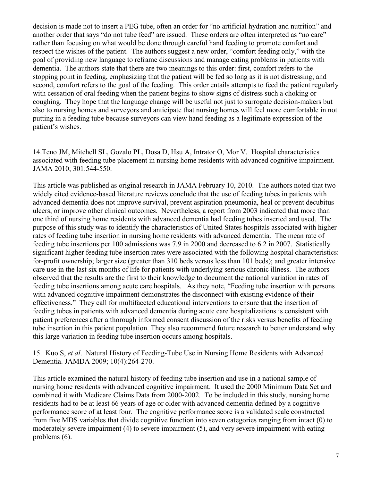decision is made not to insert a PEG tube, often an order for "no artificial hydration and nutrition" and another order that says "do not tube feed" are issued. These orders are often interpreted as "no care" rather than focusing on what would be done through careful hand feeding to promote comfort and respect the wishes of the patient. The authors suggest a new order, "comfort feeding only," with the goal of providing new language to reframe discussions and manage eating problems in patients with dementia. The authors state that there are two meanings to this order: first, comfort refers to the stopping point in feeding, emphasizing that the patient will be fed so long as it is not distressing; and second, comfort refers to the goal of the feeding. This order entails attempts to feed the patient regularly with cessation of oral feeding when the patient begins to show signs of distress such a choking or coughing. They hope that the language change will be useful not just to surrogate decision-makers but also to nursing homes and surveyors and anticipate that nursing homes will feel more comfortable in not putting in a feeding tube because surveyors can view hand feeding as a legitimate expression of the patient's wishes.

14.Teno JM, Mitchell SL, Gozalo PL, Dosa D, Hsu A, Intrator O, Mor V. Hospital characteristics associated with feeding tube placement in nursing home residents with advanced cognitive impairment. JAMA 2010; 301:544-550.

This article was published as original research in JAMA February 10, 2010. The authors noted that two widely cited evidence-based literature reviews conclude that the use of feeding tubes in patients with advanced dementia does not improve survival, prevent aspiration pneumonia, heal or prevent decubitus ulcers, or improve other clinical outcomes. Nevertheless, a report from 2003 indicated that more than one third of nursing home residents with advanced dementia had feeding tubes inserted and used. The purpose of this study was to identify the characteristics of United States hospitals associated with higher rates of feeding tube insertion in nursing home residents with advanced dementia. The mean rate of feeding tube insertions per 100 admissions was 7.9 in 2000 and decreased to 6.2 in 2007. Statistically significant higher feeding tube insertion rates were associated with the following hospital characteristics: for-profit ownership; larger size (greater than 310 beds versus less than 101 beds); and greater intensive care use in the last six months of life for patients with underlying serious chronic illness. The authors observed that the results are the first to their knowledge to document the national variation in rates of feeding tube insertions among acute care hospitals. As they note, "Feeding tube insertion with persons with advanced cognitive impairment demonstrates the disconnect with existing evidence of their effectiveness." They call for multifaceted educational interventions to ensure that the insertion of feeding tubes in patients with advanced dementia during acute care hospitalizations is consistent with patient preferences after a thorough informed consent discussion of the risks versus benefits of feeding tube insertion in this patient population. They also recommend future research to better understand why this large variation in feeding tube insertion occurs among hospitals.

15. Kuo S, *et al*. Natural History of Feeding-Tube Use in Nursing Home Residents with Advanced Dementia. JAMDA 2009; 10(4):264-270.

This article examined the natural history of feeding tube insertion and use in a national sample of nursing home residents with advanced cognitive impairment. It used the 2000 Minimum Data Set and combined it with Medicare Claims Data from 2000-2002. To be included in this study, nursing home residents had to be at least 66 years of age or older with advanced dementia defined by a cognitive performance score of at least four. The cognitive performance score is a validated scale constructed from five MDS variables that divide cognitive function into seven categories ranging from intact (0) to moderately severe impairment (4) to severe impairment (5), and very severe impairment with eating problems (6).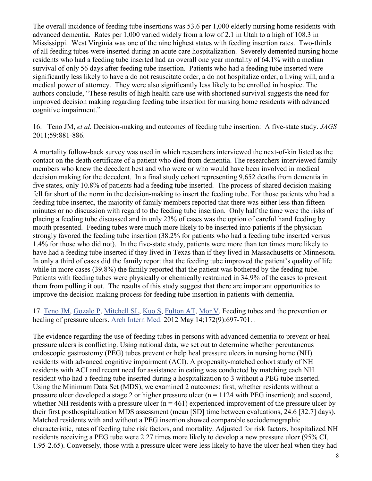The overall incidence of feeding tube insertions was 53.6 per 1,000 elderly nursing home residents with advanced dementia. Rates per 1,000 varied widely from a low of 2.1 in Utah to a high of 108.3 in Mississippi. West Virginia was one of the nine highest states with feeding insertion rates. Two-thirds of all feeding tubes were inserted during an acute care hospitalization. Severely demented nursing home residents who had a feeding tube inserted had an overall one year mortality of 64.1% with a median survival of only 56 days after feeding tube insertion. Patients who had a feeding tube inserted were significantly less likely to have a do not resuscitate order, a do not hospitalize order, a living will, and a medical power of attorney. They were also significantly less likely to be enrolled in hospice. The authors conclude, "These results of high health care use with shortened survival suggests the need for improved decision making regarding feeding tube insertion for nursing home residents with advanced cognitive impairment."

16. Teno JM, *et al.* Decision-making and outcomes of feeding tube insertion: A five-state study. *JAGS*  2011;59:881-886.

A mortality follow-back survey was used in which researchers interviewed the next-of-kin listed as the contact on the death certificate of a patient who died from dementia. The researchers interviewed family members who knew the decedent best and who were or who would have been involved in medical decision making for the decedent. In a final study cohort representing 9,652 deaths from dementia in five states, only 10.8% of patients had a feeding tube inserted. The process of shared decision making fell far short of the norm in the decision-making to insert the feeding tube. For those patients who had a feeding tube inserted, the majority of family members reported that there was either less than fifteen minutes or no discussion with regard to the feeding tube insertion. Only half the time were the risks of placing a feeding tube discussed and in only 23% of cases was the option of careful hand feeding by mouth presented. Feeding tubes were much more likely to be inserted into patients if the physician strongly favored the feeding tube insertion (38.2% for patients who had a feeding tube inserted versus 1.4% for those who did not). In the five-state study, patients were more than ten times more likely to have had a feeding tube inserted if they lived in Texas than if they lived in Massachusetts or Minnesota. In only a third of cases did the family report that the feeding tube improved the patient's quality of life while in more cases (39.8%) the family reported that the patient was bothered by the feeding tube. Patients with feeding tubes were physically or chemically restrained in 34.9% of the cases to prevent them from pulling it out. The results of this study suggest that there are important opportunities to improve the decision-making process for feeding tube insertion in patients with dementia.

17. [Teno JM,](http://www.ncbi.nlm.nih.gov/pubmed?term=Teno%20JM%5BAuthor%5D&cauthor=true&cauthor_uid=22782196) [Gozalo P,](http://www.ncbi.nlm.nih.gov/pubmed?term=Gozalo%20P%5BAuthor%5D&cauthor=true&cauthor_uid=22782196) [Mitchell SL,](http://www.ncbi.nlm.nih.gov/pubmed?term=Mitchell%20SL%5BAuthor%5D&cauthor=true&cauthor_uid=22782196) [Kuo S,](http://www.ncbi.nlm.nih.gov/pubmed?term=Kuo%20S%5BAuthor%5D&cauthor=true&cauthor_uid=22782196) [Fulton AT,](http://www.ncbi.nlm.nih.gov/pubmed?term=Fulton%20AT%5BAuthor%5D&cauthor=true&cauthor_uid=22782196) [Mor V.](http://www.ncbi.nlm.nih.gov/pubmed?term=Mor%20V%5BAuthor%5D&cauthor=true&cauthor_uid=22782196) Feeding tubes and the prevention or healing of pressure ulcers. [Arch Intern Med.](http://www.ncbi.nlm.nih.gov/pubmed/22782196) 2012 May 14;172(9):697-701.

The evidence regarding the use of feeding tubes in persons with advanced dementia to prevent or heal pressure ulcers is conflicting. Using national data, we set out to determine whether percutaneous endoscopic gastrostomy (PEG) tubes prevent or help heal pressure ulcers in nursing home (NH) residents with advanced cognitive impairment (ACI). A propensity-matched cohort study of NH residents with ACI and recent need for assistance in eating was conducted by matching each NH resident who had a feeding tube inserted during a hospitalization to 3 without a PEG tube inserted. Using the Minimum Data Set (MDS), we examined 2 outcomes: first, whether residents without a pressure ulcer developed a stage 2 or higher pressure ulcer  $(n = 1124$  with PEG insertion); and second, whether NH residents with a pressure ulcer  $(n = 461)$  experienced improvement of the pressure ulcer by their first posthospitalization MDS assessment (mean [SD] time between evaluations, 24.6 [32.7] days). Matched residents with and without a PEG insertion showed comparable sociodemographic characteristic, rates of feeding tube risk factors, and mortality. Adjusted for risk factors, hospitalized NH residents receiving a PEG tube were 2.27 times more likely to develop a new pressure ulcer (95% CI, 1.95-2.65). Conversely, those with a pressure ulcer were less likely to have the ulcer heal when they had